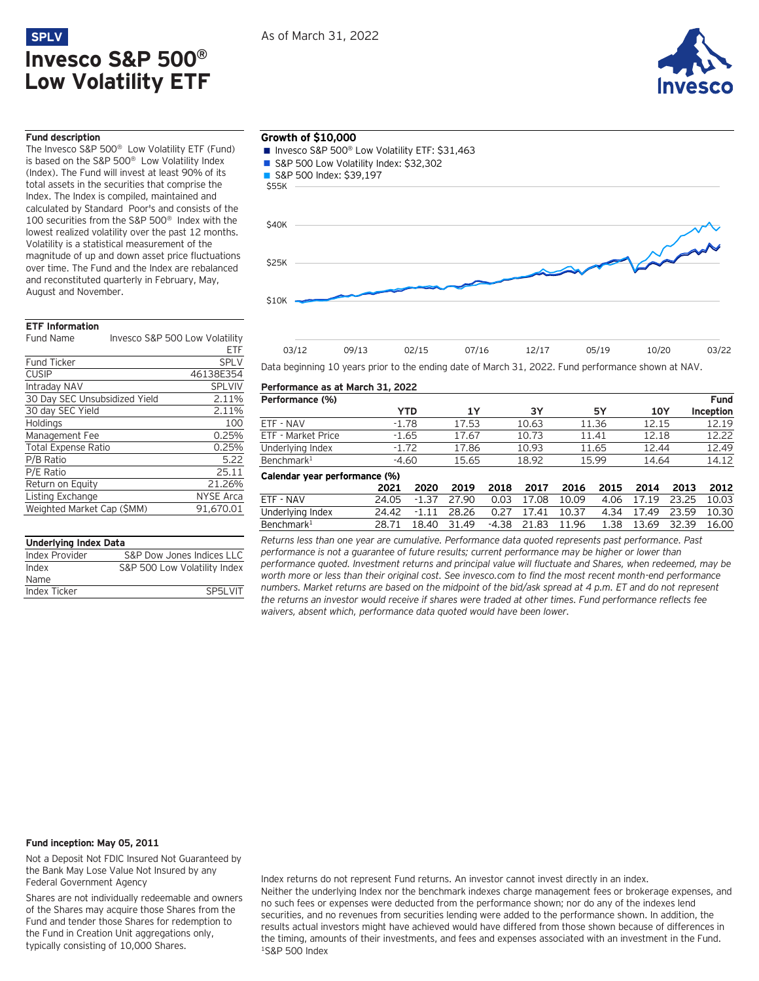



## **Fund description**

The Invesco S&P 500® Low Volatility ETF (Fund) is based on the S&P 500® Low Volatility Index (Index). The Fund will invest at least 90% of its total assets in the securities that comprise the Index. The Index is compiled, maintained and calculated by Standard Poor's and consists of the 100 securities from the S&P 500® Index with the lowest realized volatility over the past 12 months. Volatility is a statistical measurement of the magnitude of up and down asset price fluctuations over time. The Fund and the Index are rebalanced and reconstituted quarterly in February, May, August and November.

## **ETF Information**

Fund Name Invesco S&P 500 Low Volatility

|                               | FTF              |
|-------------------------------|------------------|
| <b>Fund Ticker</b>            | <b>SPLV</b>      |
| <b>CUSIP</b>                  | 46138E354        |
| Intraday NAV                  | <b>SPLVIV</b>    |
| 30 Day SEC Unsubsidized Yield | 2.11%            |
| 30 day SEC Yield              | 2.11%            |
| Holdings                      | 100              |
| Management Fee                | 0.25%            |
| <b>Total Expense Ratio</b>    | 0.25%            |
| P/B Ratio                     | 5.22             |
| P/E Ratio                     | 25.11            |
| Return on Equity              | 21.26%           |
| Listing Exchange              | <b>NYSE Arca</b> |
| Weighted Market Cap (\$MM)    | 91.670.01        |
|                               |                  |

| <b>Underlying Index Data</b> |                              |  |  |  |  |
|------------------------------|------------------------------|--|--|--|--|
| Index Provider               | S&P Dow Jones Indices LLC    |  |  |  |  |
| Index                        | S&P 500 Low Volatility Index |  |  |  |  |
| Name                         |                              |  |  |  |  |
| Index Ticker                 | SP5I VIT                     |  |  |  |  |
|                              |                              |  |  |  |  |

## **Growth of \$10,000**

- Invesco S&P 500<sup>®</sup> Low Volatility ETF: \$31,463
- S&P 500 Low Volatility Index: \$32,302
- S&P 500 Index: \$39,197



| 03/12                                                                                              | 09/13 | 02/15 | 07/16 | 12/17 | 05/19 | 10/20 | 03/22 |
|----------------------------------------------------------------------------------------------------|-------|-------|-------|-------|-------|-------|-------|
| Data beginning 10 years prior to the ending date of March 31, 2022. Fund performance shown at NAV. |       |       |       |       |       |       |       |

#### **Performance as at March 31, 2022**

| Performance (%)               |         |         |       |       |       |       |       |            |       | <b>Fund</b> |
|-------------------------------|---------|---------|-------|-------|-------|-------|-------|------------|-------|-------------|
|                               |         | YTD     | 1Y    |       | 3Υ    |       | 5Υ    | <b>10Y</b> |       | Inception   |
| ETF - NAV                     | $-1.78$ |         | 17.53 |       | 10.63 |       | 11.36 | 12.15      |       | 12.19       |
| ETF - Market Price            | $-1.65$ |         | 17.67 |       | 10.73 |       | 11.41 | 12.18      |       | 12.22       |
| Underlying Index              | $-1.72$ |         | 17.86 |       | 10.93 |       | 11.65 | 12.44      |       | 12.49       |
| Benchmark <sup>1</sup>        | $-4.60$ |         | 15.65 |       | 18.92 |       | 15.99 | 14.64      |       | 14.12       |
| Calendar year performance (%) |         |         |       |       |       |       |       |            |       |             |
|                               | 2021    | 2020    | 2019  | 2018  | 2017  | 2016  | 2015  | 2014       | 2013  | 2012        |
| ETF - NAV                     | 24.05   | $-1.37$ | 27.90 | 0.03  | 17.08 | 10.09 | 4.06  | 17.19      | 23.25 | 10.03       |
| Underlying Index              | 24.42   | $-1.11$ | 28.26 | 0.27  | 17.41 | 10.37 | 4.34  | 17.49      | 23.59 | 10.30       |
| Benchmark <sup>1</sup>        | 28.71   | 18.40   | 31.49 | -4.38 | 21.83 | 11.96 | 1.38  | 13.69      | 32.39 | 16.00       |

*Returns less than one year are cumulative. Performance data quoted represents past performance. Past performance is not a guarantee of future results; current performance may be higher or lower than performance quoted. Investment returns and principal value will fluctuate and Shares, when redeemed, may be worth more or less than their original cost. See invesco.com to find the most recent month-end performance numbers. Market returns are based on the midpoint of the bid/ask spread at 4 p.m. ET and do not represent the returns an investor would receive if shares were traded at other times. Fund performance reflects fee waivers, absent which, performance data quoted would have been lower.*

## **Fund inception: May 05, 2011**

Not a Deposit Not FDIC Insured Not Guaranteed by the Bank May Lose Value Not Insured by any Federal Government Agency

Shares are not individually redeemable and owners of the Shares may acquire those Shares from the Fund and tender those Shares for redemption to the Fund in Creation Unit aggregations only, typically consisting of 10,000 Shares.

Index returns do not represent Fund returns. An investor cannot invest directly in an index. Neither the underlying Index nor the benchmark indexes charge management fees or brokerage expenses, and no such fees or expenses were deducted from the performance shown; nor do any of the indexes lend securities, and no revenues from securities lending were added to the performance shown. In addition, the results actual investors might have achieved would have differed from those shown because of differences in the timing, amounts of their investments, and fees and expenses associated with an investment in the Fund. <sup>1</sup>S&P 500 Index